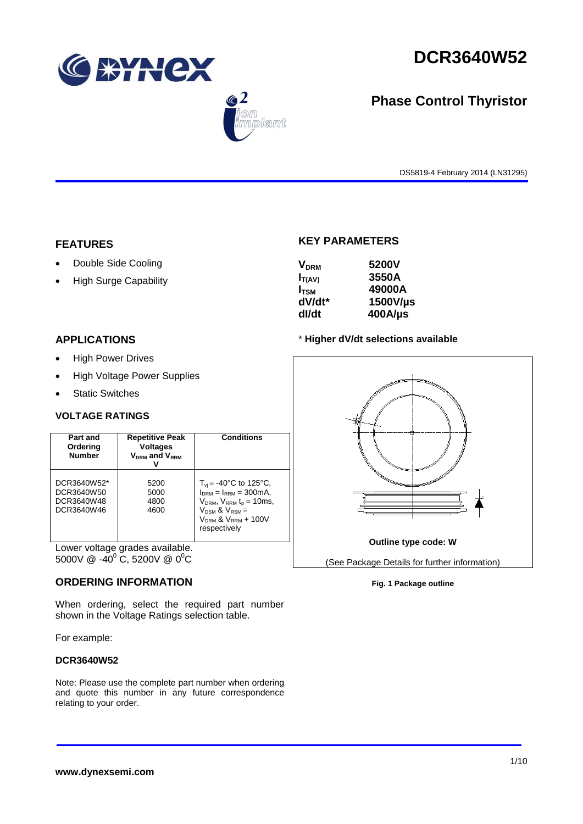

 $\bigcirc$  2

lant



# **Phase Control Thyristor**

DS5819-4 February 2014 (LN31295)

#### **FEATURES**

- Double Side Cooling
- High Surge Capability

## **KEY PARAMETERS**

| 5200V      |
|------------|
| 3550A      |
| 49000A     |
| 1500V/us   |
| $400$ A/µs |
|            |

## **APPLICATIONS**

- High Power Drives
- High Voltage Power Supplies
- Static Switches

#### **VOLTAGE RATINGS**

| Part and<br>Ordering<br><b>Number</b>                 | <b>Repetitive Peak</b><br><b>Voltages</b><br>$V_{DRM}$ and $V_{RRM}$ | <b>Conditions</b>                                                                                                                                                                             |
|-------------------------------------------------------|----------------------------------------------------------------------|-----------------------------------------------------------------------------------------------------------------------------------------------------------------------------------------------|
| DCR3640W52*<br>DCR3640W50<br>DCR3640W48<br>DCR3640W46 | 5200<br>5000<br>4800<br>4600                                         | $T_{vi} = -40^{\circ}$ C to 125°C,<br>$I_{DRM} = I_{RRM} = 300 \text{mA}$<br>$V_{DRM}$ , $V_{RRM}$ $t_{p}$ = 10ms,<br>$V_{DSM}$ & $V_{RSM}$ =<br>$V_{DRM}$ & $V_{RRM}$ + 100V<br>respectively |

Lower voltage grades available. 5000V  $\omega$  -40<sup>°</sup> C, 5200V  $\omega$  0<sup>°</sup>C

#### **ORDERING INFORMATION**

When ordering, select the required part number shown in the Voltage Ratings selection table.

For example:

#### **DCR3640W52**

Note: Please use the complete part number when ordering and quote this number in any future correspondence relating to your order.



#### **Fig. 1 Package outline**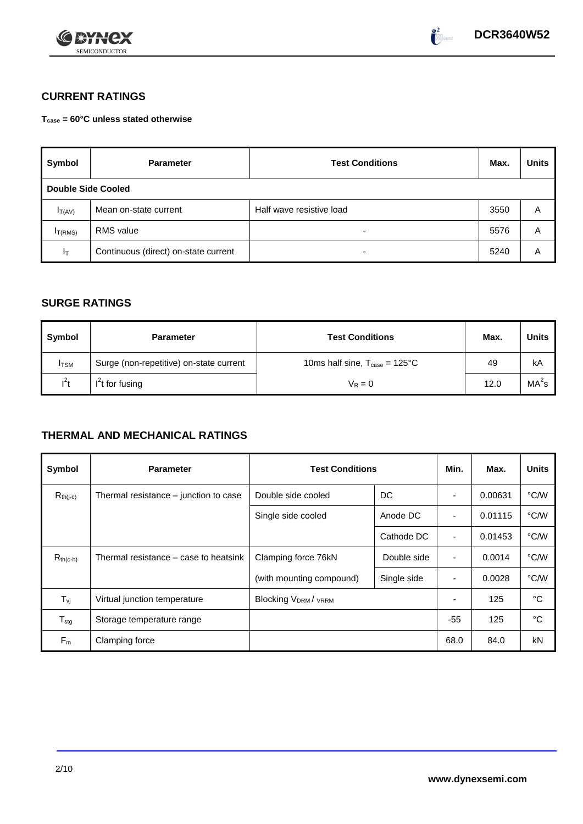

# **CURRENT RATINGS**

**Tcase = 60°C unless stated otherwise**

| Symbol                    | <b>Parameter</b>                     | <b>Test Conditions</b>   |      | <b>Units</b> |
|---------------------------|--------------------------------------|--------------------------|------|--------------|
| <b>Double Side Cooled</b> |                                      |                          |      |              |
| $I_{T(AV)}$               | Mean on-state current                | Half wave resistive load | 3550 | A            |
| I <sub>T(RMS)</sub>       | <b>RMS</b> value                     | $\overline{\phantom{0}}$ | 5576 | A            |
| ΙT                        | Continuous (direct) on-state current | $\overline{\phantom{a}}$ | 5240 | Α            |

## **SURGE RATINGS**

| Symbol       | <b>Test Conditions</b><br><b>Parameter</b> |                                                   | Max. | <b>Units</b>      |
|--------------|--------------------------------------------|---------------------------------------------------|------|-------------------|
| <b>I</b> TSM | Surge (non-repetitive) on-state current    | 10ms half sine, $T_{\text{case}} = 125^{\circ}$ C | 49   | kA                |
| $I^2t$       | $I2t$ for fusing                           | $V_R = 0$                                         | 12.0 | MA <sup>2</sup> s |

# **THERMAL AND MECHANICAL RATINGS**

| Symbol           | <b>Parameter</b>                      | <b>Test Conditions</b>                      |             | Min.           | Max.    | <b>Units</b> |
|------------------|---------------------------------------|---------------------------------------------|-------------|----------------|---------|--------------|
| $R_{th(j-c)}$    | Thermal resistance – junction to case | Double side cooled                          | DC          |                | 0.00631 | °C/W         |
|                  |                                       | Single side cooled                          | Anode DC    |                | 0.01115 | °C/W         |
|                  |                                       |                                             | Cathode DC  | $\blacksquare$ | 0.01453 | °C/W         |
| $R_{th(c-h)}$    | Thermal resistance – case to heatsink | Clamping force 76kN<br>Double side          |             | $\blacksquare$ | 0.0014  | °C/W         |
|                  |                                       | (with mounting compound)                    | Single side | ٠              | 0.0028  | °C/W         |
| $T_{\rm vj}$     | Virtual junction temperature          | Blocking V <sub>DRM</sub> / <sub>VRRM</sub> |             |                | 125     | °C           |
| $T_{\text{stg}}$ | Storage temperature range             |                                             |             | $-55$          | 125     | °C           |
| $F_m$            | Clamping force                        |                                             |             | 68.0           | 84.0    | kN           |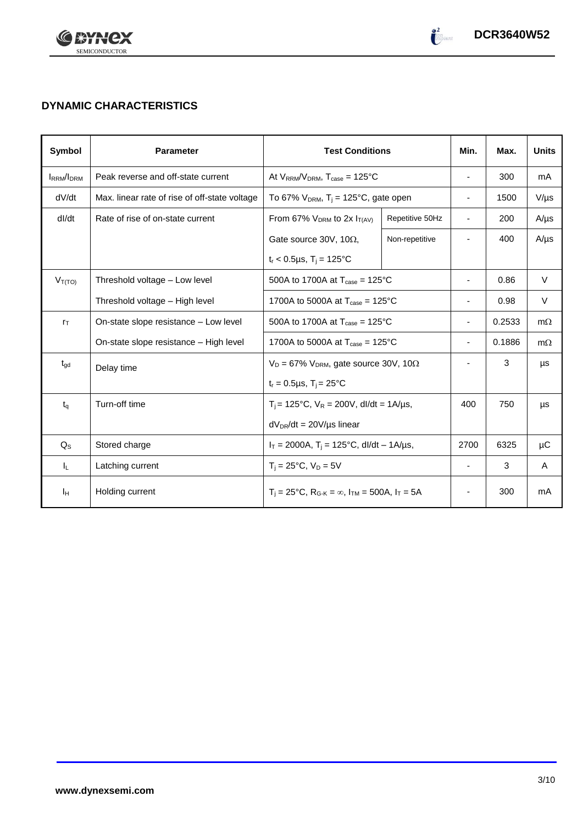

# **DYNAMIC CHARACTERISTICS**

| Symbol            | <b>Parameter</b>                                                           | <b>Test Conditions</b>                                                                          | Min.            | Max.                     | <b>Units</b> |           |
|-------------------|----------------------------------------------------------------------------|-------------------------------------------------------------------------------------------------|-----------------|--------------------------|--------------|-----------|
| <b>IRRM</b> /IDRM | Peak reverse and off-state current                                         | At $V_{RRM}/V_{DRM}$ , $T_{case} = 125^{\circ}C$                                                |                 | $\overline{\phantom{a}}$ | 300          | mA        |
| dV/dt             | Max. linear rate of rise of off-state voltage                              | To 67% $V_{DRM}$ , T <sub>i</sub> = 125°C, gate open                                            |                 | $\blacksquare$           | 1500         | $V/\mu s$ |
| dl/dt             | Rate of rise of on-state current                                           | From 67% $V_{DRM}$ to 2x $I_{T(AV)}$                                                            | Repetitive 50Hz | $\sim$                   | 200          | $A/\mu s$ |
|                   |                                                                            | Gate source 30V, 10 $\Omega$ ,                                                                  | Non-repetitive  |                          | 400          | $A/\mu s$ |
|                   |                                                                            | $t_r < 0.5 \mu s$ , $T_i = 125$ °C                                                              |                 |                          |              |           |
| $V_{T(TO)}$       | Threshold voltage - Low level                                              | 500A to 1700A at $T_{\text{case}} = 125^{\circ}C$                                               |                 | $\overline{\phantom{a}}$ | 0.86         | $\vee$    |
|                   | Threshold voltage - High level                                             | 1700A to 5000A at $T_{\text{case}} = 125^{\circ}$ C                                             |                 |                          | 0.98         | $\vee$    |
| $r_{\text{T}}$    | On-state slope resistance - Low level                                      | 500A to 1700A at $T_{\text{case}} = 125^{\circ}C$                                               |                 |                          | 0.2533       | $m\Omega$ |
|                   | On-state slope resistance - High level                                     | 1700A to 5000A at $T_{\text{case}} = 125^{\circ}$ C                                             |                 | 0.1886                   | $m\Omega$    |           |
| $t_{\text{gd}}$   | $V_D = 67\%$ V <sub>DRM</sub> , gate source 30V, 10 $\Omega$<br>Delay time |                                                                                                 |                 | 3                        | μs           |           |
|                   |                                                                            | $t_r = 0.5 \mu s$ , $T_j = 25^{\circ}C$                                                         |                 |                          |              |           |
| $t_q$             | Turn-off time                                                              | $T_i = 125$ °C, $V_R = 200V$ , dl/dt = 1A/µs,                                                   |                 | 400                      | 750          | μs        |
|                   |                                                                            | $dV_{DR}/dt = 20V/\mu s$ linear                                                                 |                 |                          |              |           |
| $Q_S$             | Stored charge                                                              | $I_T = 2000A$ , $T_i = 125^{\circ}C$ , dl/dt – 1A/us,                                           |                 | 2700                     | 6325         | μC        |
| IL.               | Latching current                                                           | $T_i = 25^{\circ}C$ , $V_D = 5V$                                                                |                 | $\blacksquare$           | 3            | A         |
| Iн                | Holding current                                                            | $T_i = 25^{\circ}C$ , R <sub>G-K</sub> = $\infty$ , I <sub>TM</sub> = 500A, I <sub>T</sub> = 5A |                 |                          | 300          | mA        |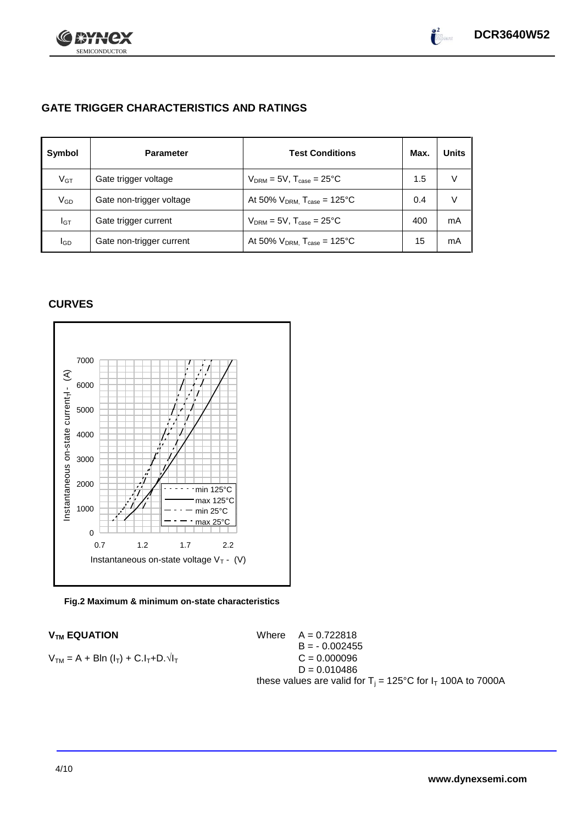

 $\int_{0}^{2}$ 

# **GATE TRIGGER CHARACTERISTICS AND RATINGS**

| Symbol       | <b>Parameter</b>         | <b>Test Conditions</b>                       | Max. | <b>Units</b> |
|--------------|--------------------------|----------------------------------------------|------|--------------|
| $V$ GT       | Gate trigger voltage     | $V_{DRM}$ = 5V, $T_{case}$ = 25°C            | 1.5  | V            |
| $\rm V_{GD}$ | Gate non-trigger voltage | At 50% $V_{DRM}$ , $T_{case} = 125^{\circ}C$ | 0.4  | V            |
| Iст          | Gate trigger current     | $V_{DRM} = 5V$ , $T_{case} = 25^{\circ}C$    | 400  | mA           |
| lgp          | Gate non-trigger current | At 50% $V_{DRM}$ , $T_{case}$ = 125°C        | 15   | mA           |

## **CURVES**



#### **Fig.2 Maximum & minimum on-state characteristics**

 $V_{TM}$  **EQUATION** Where  $A = 0.722818$  $B = -0.002455$  $V_{TM} = A + B\ln(I_T) + C.I_T + D.\sqrt{I_T}$  C = 0.000096  $D = 0.010486$ these values are valid for  $T_i = 125^{\circ}C$  for  $I_T$  100A to 7000A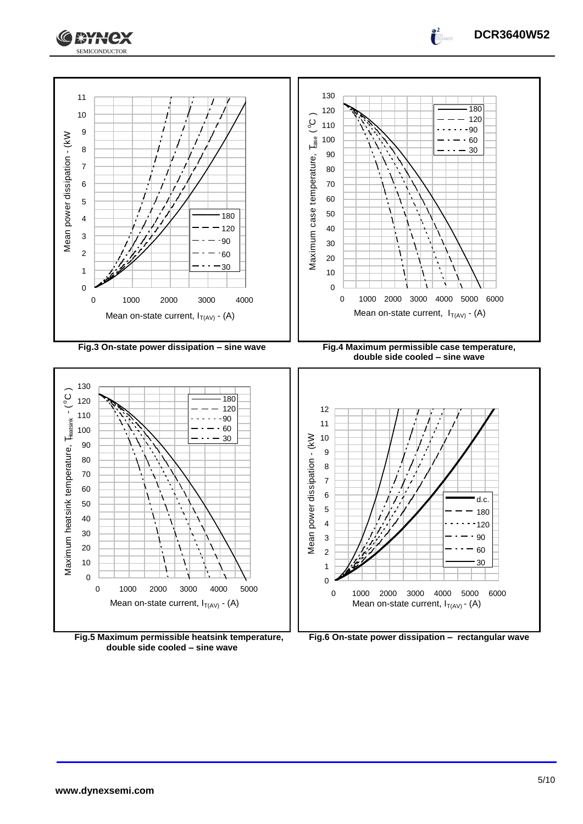



**Fig.5 Maximum permissible heatsink temperature, double side cooled – sine wave**



**DCR3640W52**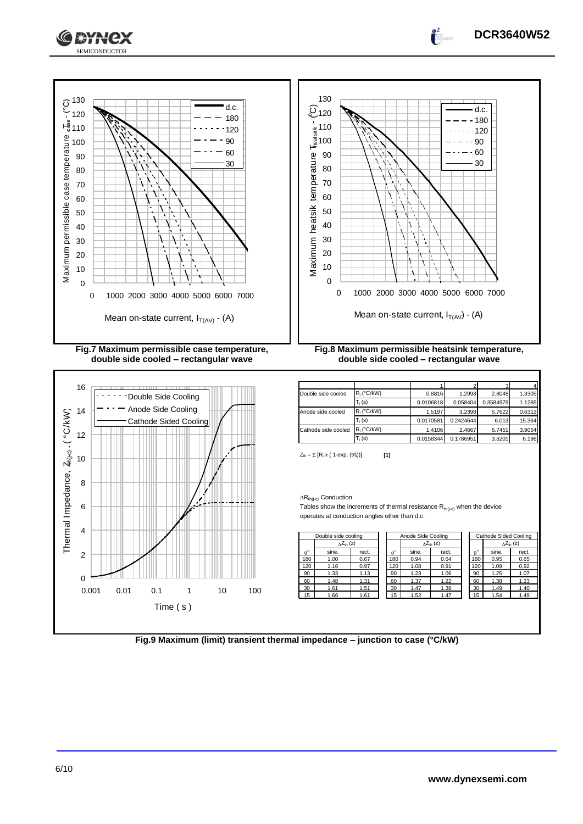



 2 3 4 Double side cooled Ri (°C/kW) 0.8816 1.2993 2.8048 1.3305 Ti (s) 0.0106818 0.058404 0.3584979 1.1285 Anode side cooled  $R_i$  (°C/kW) 1.5197 3.2398 5.7622 0.6312  $T_i$  (s) 0.0170581 0.2424644 6.013 15.364 Cathode side cooled  $R_i$  (°C/kW) 1.4106 2.4667 6.7451 3.9054  $T_i$  (s) 0.0158344 0.1786951 3.6201 6.196

 $Z_{\text{th}} = \sum [R_i \times (1 - \exp. (t/t_i))]$  [1]

 $\Delta R_{th(j\text{-}c)}$  Conduction

Tables show the increments of thermal resistance  $R_{th(j-c)}$  when the device operates at conduction angles other than d.c.

| Double side cooling |                     |       |  | Anode Side Cooling |       |                     | Cathode Sided Cooling |             |       |                              |
|---------------------|---------------------|-------|--|--------------------|-------|---------------------|-----------------------|-------------|-------|------------------------------|
|                     | $\Delta Z_{th}$ (z) |       |  |                    |       | $\wedge Z_{th}$ (z) |                       |             |       | $_{\Delta}Z_{\text{th}}$ (z) |
| $\theta^{\circ}$    | sine.               | rect. |  | $\theta^{\circ}$   | sine. | rect.               |                       | $A^{\circ}$ | sine. | rect.                        |
| 180                 | 1.00                | 0.67  |  | 180                | 0.94  | 0.64                |                       | 180         | 0.95  | 0.65                         |
| 120                 | 1.16                | 0.97  |  | 120                | 1.08  | 0.91                |                       | 120         | 1.09  | 0.92                         |
| 90                  | 1.33                | 1.13  |  | 90                 | 1.23  | 1.06                |                       | 90          | 1.25  | 1.07                         |
| 60                  | 1.48                | 1.31  |  | 60                 | 1.37  | 1.22                |                       | 60          | 1.38  | 1.23                         |
| 30                  | 1.61                | 1.51  |  | 30                 | 1.47  | 1.38                |                       | 30          | 1.49  | 1.40                         |
| 15                  | 1.66                | 1.61  |  | 15                 | 1.52  | 1.47                |                       | 15          | 1.54  | 1.49                         |

| Cathode Sided Cooling |                     |       |  |  |  |  |  |
|-----------------------|---------------------|-------|--|--|--|--|--|
|                       | $\Delta Z_{th}$ (z) |       |  |  |  |  |  |
|                       | sine.               | rect. |  |  |  |  |  |
| 180                   | 0.95                | 0.65  |  |  |  |  |  |
| 120                   | 1.09                | 0.92  |  |  |  |  |  |
| 90                    | 1.25                | 1.07  |  |  |  |  |  |
| 60                    | 1.38                | 1.23  |  |  |  |  |  |
| 30                    | 1.49                | 1.40  |  |  |  |  |  |
| 15                    | 1.54                | 1.49  |  |  |  |  |  |

**Fig.9 Maximum (limit) transient thermal impedance – junction to case (°C/kW)**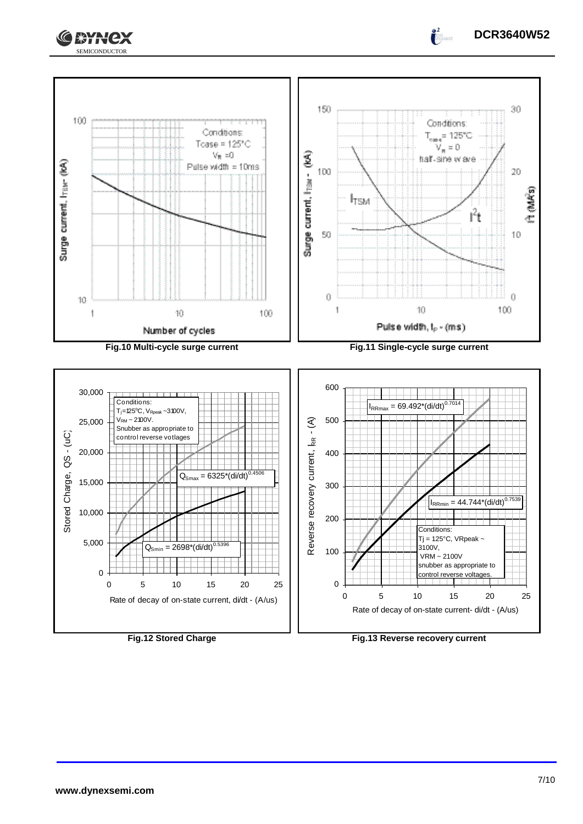



**Fig.12 Stored Charge Fig.13 Reverse recovery current**

**DCR3640W52**

 $\int_0^2$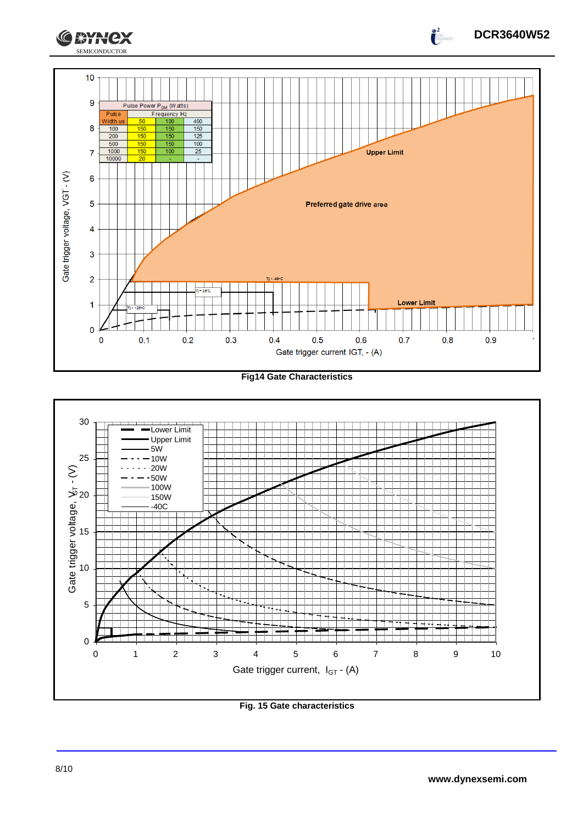

**Fig14 Gate Characteristics**



**Fig. 15 Gate characteristics**

**DCR3640W52**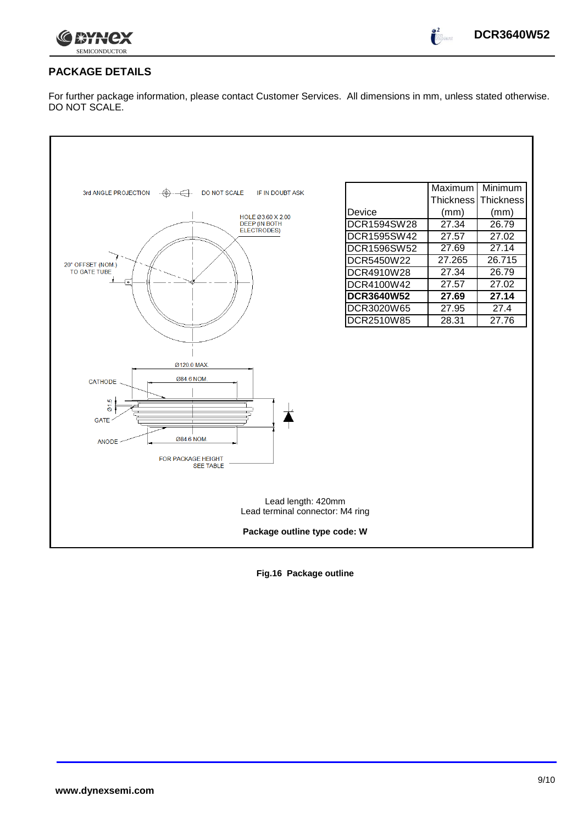

#### **PACKAGE DETAILS**

For further package information, please contact Customer Services. All dimensions in mm, unless stated otherwise. DO NOT SCALE.



**Fig.16 Package outline**